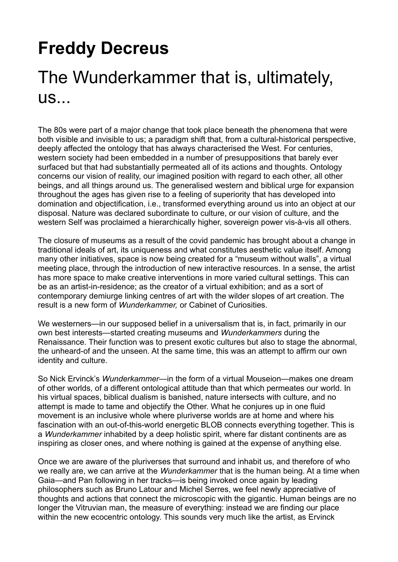## **Freddy Decreus**

## The Wunderkammer that is, ultimately, us...

The 80s were part of a major change that took place beneath the phenomena that were both visible and invisible to us; a paradigm shift that, from a cultural-historical perspective, deeply affected the ontology that has always characterised the West. For centuries, western society had been embedded in a number of presuppositions that barely ever surfaced but that had substantially permeated all of its actions and thoughts. Ontology concerns our vision of reality, our imagined position with regard to each other, all other beings, and all things around us. The generalised western and biblical urge for expansion throughout the ages has given rise to a feeling of superiority that has developed into domination and objectification, i.e., transformed everything around us into an object at our disposal. Nature was declared subordinate to culture, or our vision of culture, and the western Self was proclaimed a hierarchically higher, sovereign power vis-à-vis all others.

The closure of museums as a result of the covid pandemic has brought about a change in traditional ideals of art, its uniqueness and what constitutes aesthetic value itself. Among many other initiatives, space is now being created for a "museum without walls", a virtual meeting place, through the introduction of new interactive resources. In a sense, the artist has more space to make creative interventions in more varied cultural settings. This can be as an artist-in-residence; as the creator of a virtual exhibition; and as a sort of contemporary demiurge linking centres of art with the wilder slopes of art creation. The result is a new form of *Wunderkammer,* or Cabinet of Curiosities.

We westerners—in our supposed belief in a universalism that is, in fact, primarily in our own best interests—started creating museums and *Wunderkammers* during the Renaissance. Their function was to present exotic cultures but also to stage the abnormal, the unheard-of and the unseen. At the same time, this was an attempt to affirm our own identity and culture.

So Nick Ervinck's *Wunderkammer—*in the form of a virtual Mouseion—makes one dream of other worlds, of a different ontological attitude than that which permeates our world. In his virtual spaces, biblical dualism is banished, nature intersects with culture, and no attempt is made to tame and objectify the Other. What he conjures up in one fluid movement is an inclusive whole where pluriverse worlds are at home and where his fascination with an out-of-this-world energetic BLOB connects everything together. This is a *Wunderkammer* inhabited by a deep holistic spirit, where far distant continents are as inspiring as closer ones, and where nothing is gained at the expense of anything else.

Once we are aware of the pluriverses that surround and inhabit us, and therefore of who we really are, we can arrive at the *Wunderkammer* that is the human being. At a time when Gaia—and Pan following in her tracks—is being invoked once again by leading philosophers such as Bruno Latour and Michel Serres, we feel newly appreciative of thoughts and actions that connect the microscopic with the gigantic. Human beings are no longer the Vitruvian man, the measure of everything: instead we are finding our place within the new ecocentric ontology. This sounds very much like the artist, as Ervinck